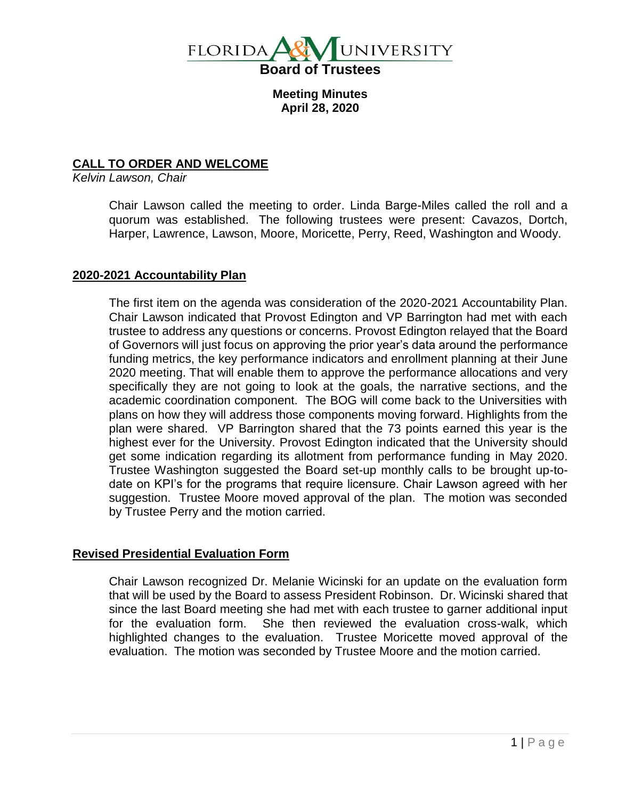

**Meeting Minutes April 28, 2020**

# **CALL TO ORDER AND WELCOME**

*Kelvin Lawson, Chair*

Chair Lawson called the meeting to order. Linda Barge-Miles called the roll and a quorum was established. The following trustees were present: Cavazos, Dortch, Harper, Lawrence, Lawson, Moore, Moricette, Perry, Reed, Washington and Woody.

#### **2020-2021 Accountability Plan**

The first item on the agenda was consideration of the 2020-2021 Accountability Plan. Chair Lawson indicated that Provost Edington and VP Barrington had met with each trustee to address any questions or concerns. Provost Edington relayed that the Board of Governors will just focus on approving the prior year's data around the performance funding metrics, the key performance indicators and enrollment planning at their June 2020 meeting. That will enable them to approve the performance allocations and very specifically they are not going to look at the goals, the narrative sections, and the academic coordination component. The BOG will come back to the Universities with plans on how they will address those components moving forward. Highlights from the plan were shared. VP Barrington shared that the 73 points earned this year is the highest ever for the University. Provost Edington indicated that the University should get some indication regarding its allotment from performance funding in May 2020. Trustee Washington suggested the Board set-up monthly calls to be brought up-todate on KPI's for the programs that require licensure. Chair Lawson agreed with her suggestion. Trustee Moore moved approval of the plan. The motion was seconded by Trustee Perry and the motion carried.

## **Revised Presidential Evaluation Form**

Chair Lawson recognized Dr. Melanie Wicinski for an update on the evaluation form that will be used by the Board to assess President Robinson. Dr. Wicinski shared that since the last Board meeting she had met with each trustee to garner additional input for the evaluation form. She then reviewed the evaluation cross-walk, which highlighted changes to the evaluation. Trustee Moricette moved approval of the evaluation. The motion was seconded by Trustee Moore and the motion carried.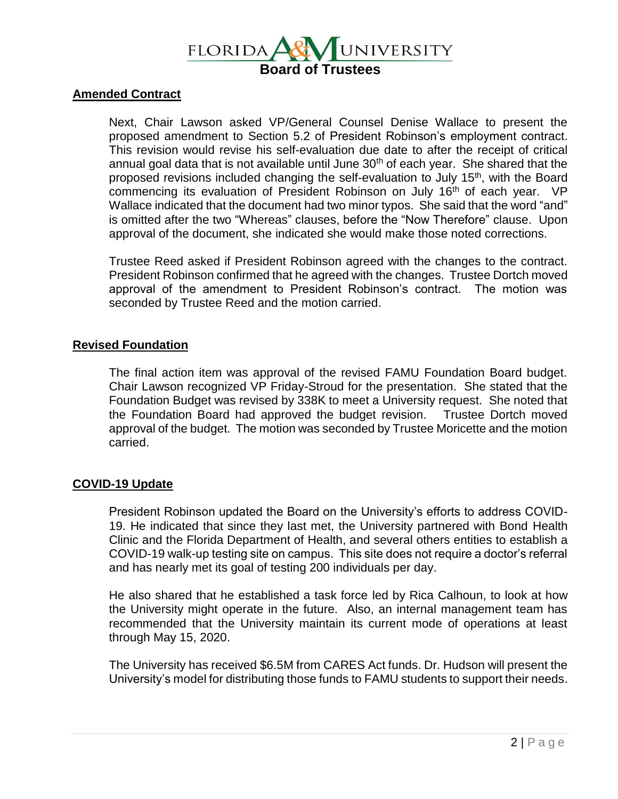

### **Amended Contract**

Next, Chair Lawson asked VP/General Counsel Denise Wallace to present the proposed amendment to Section 5.2 of President Robinson's employment contract. This revision would revise his self-evaluation due date to after the receipt of critical annual goal data that is not available until June  $30<sup>th</sup>$  of each year. She shared that the proposed revisions included changing the self-evaluation to July 15<sup>th</sup>, with the Board commencing its evaluation of President Robinson on July 16<sup>th</sup> of each year. VP Wallace indicated that the document had two minor typos. She said that the word "and" is omitted after the two "Whereas" clauses, before the "Now Therefore" clause. Upon approval of the document, she indicated she would make those noted corrections.

Trustee Reed asked if President Robinson agreed with the changes to the contract. President Robinson confirmed that he agreed with the changes. Trustee Dortch moved approval of the amendment to President Robinson's contract. The motion was seconded by Trustee Reed and the motion carried.

## **Revised Foundation**

The final action item was approval of the revised FAMU Foundation Board budget. Chair Lawson recognized VP Friday-Stroud for the presentation. She stated that the Foundation Budget was revised by 338K to meet a University request. She noted that the Foundation Board had approved the budget revision. Trustee Dortch moved approval of the budget. The motion was seconded by Trustee Moricette and the motion carried.

#### **COVID-19 Update**

President Robinson updated the Board on the University's efforts to address COVID-19. He indicated that since they last met, the University partnered with Bond Health Clinic and the Florida Department of Health, and several others entities to establish a COVID-19 walk-up testing site on campus. This site does not require a doctor's referral and has nearly met its goal of testing 200 individuals per day.

He also shared that he established a task force led by Rica Calhoun, to look at how the University might operate in the future. Also, an internal management team has recommended that the University maintain its current mode of operations at least through May 15, 2020.

The University has received \$6.5M from CARES Act funds. Dr. Hudson will present the University's model for distributing those funds to FAMU students to support their needs.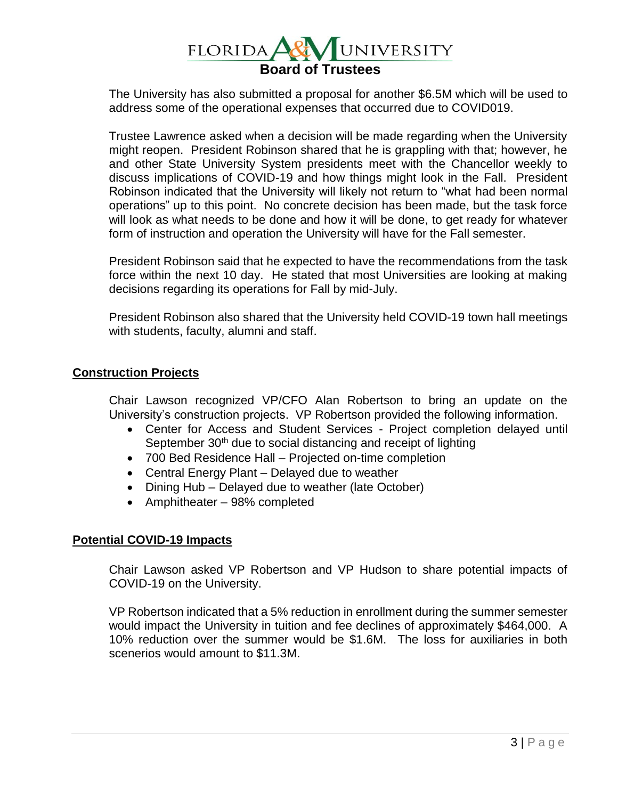

The University has also submitted a proposal for another \$6.5M which will be used to address some of the operational expenses that occurred due to COVID019.

Trustee Lawrence asked when a decision will be made regarding when the University might reopen. President Robinson shared that he is grappling with that; however, he and other State University System presidents meet with the Chancellor weekly to discuss implications of COVID-19 and how things might look in the Fall. President Robinson indicated that the University will likely not return to "what had been normal operations" up to this point. No concrete decision has been made, but the task force will look as what needs to be done and how it will be done, to get ready for whatever form of instruction and operation the University will have for the Fall semester.

President Robinson said that he expected to have the recommendations from the task force within the next 10 day. He stated that most Universities are looking at making decisions regarding its operations for Fall by mid-July.

President Robinson also shared that the University held COVID-19 town hall meetings with students, faculty, alumni and staff.

#### **Construction Projects**

Chair Lawson recognized VP/CFO Alan Robertson to bring an update on the University's construction projects. VP Robertson provided the following information.

- Center for Access and Student Services Project completion delayed until September  $30<sup>th</sup>$  due to social distancing and receipt of lighting
- 700 Bed Residence Hall Projected on-time completion
- Central Energy Plant Delayed due to weather
- Dining Hub Delayed due to weather (late October)
- Amphitheater 98% completed

## **Potential COVID-19 Impacts**

Chair Lawson asked VP Robertson and VP Hudson to share potential impacts of COVID-19 on the University.

VP Robertson indicated that a 5% reduction in enrollment during the summer semester would impact the University in tuition and fee declines of approximately \$464,000. A 10% reduction over the summer would be \$1.6M. The loss for auxiliaries in both scenerios would amount to \$11.3M.